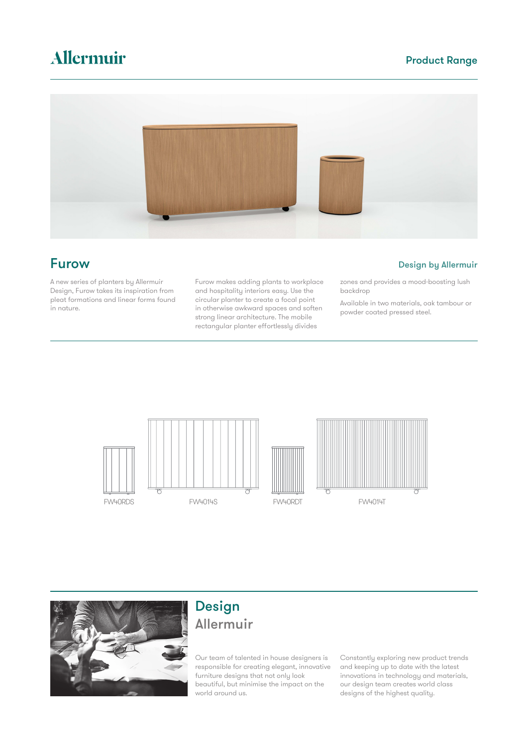# Allermuir

### Product Range



A new series of planters by Allermuir Design, Furow takes its inspiration from pleat formations and linear forms found in nature.

Furow makes adding plants to workplace and hospitality interiors easy. Use the circular planter to create a focal point in otherwise awkward spaces and soften strong linear architecture. The mobile rectangular planter effortlessly divides

**Furow** Design by Allermuir

zones and provides a mood-boosting lush backdrop

Available in two materials, oak tambour or powder coated pressed steel.









## Design Allermuir

Our team of talented in house designers is responsible for creating elegant, innovative furniture designs that not only look beautiful, but minimise the impact on the world around us.

Constantly exploring new product trends and keeping up to date with the latest innovations in technology and materials, our design team creates world class designs of the highest quality.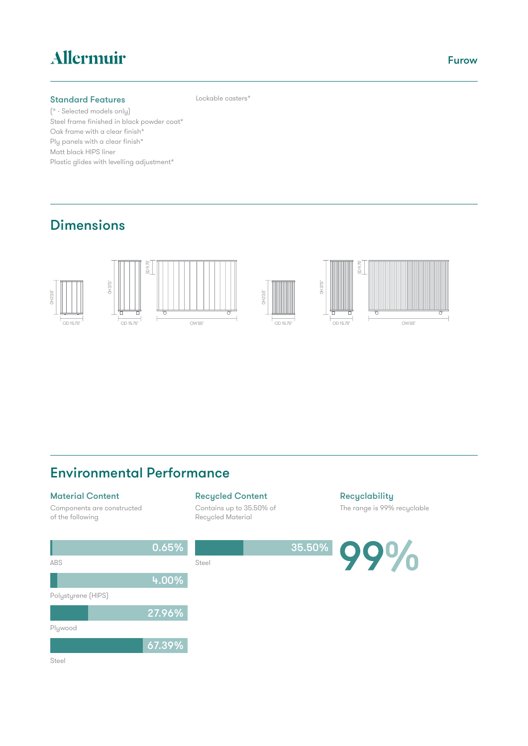# Allermuir

#### Standard Features

(\* - Selected models only) Steel frame finished in black powder coat\* Oak frame with a clear finish\* Ply panels with a clear finish\* Matt black HIPS liner Plastic glides with levelling adjustment\*

### Dimensions



Lockable casters\*

#### Material Content

Components are constructed of the following

### Recycled Content

Contains up to 35.50% of Recycled Material

**Recyclability** The range is 99% recyclable



ABS 0.65% Steel Polystyrene (HIPS) 4.00% Plywood 27.96% Steel 67.39%

Furow